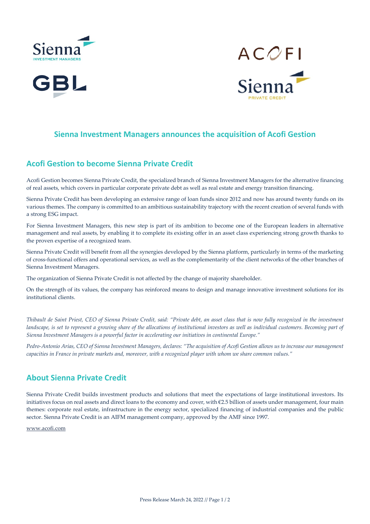





#### **Sienna Investment Managers announces the acquisition of Acofi Gestion**

### **Acofi Gestion to become Sienna Private Credit**

Acofi Gestion becomes Sienna Private Credit, the specialized branch of Sienna Investment Managers for the alternative financing of real assets, which covers in particular corporate private debt as well as real estate and energy transition financing.

Sienna Private Credit has been developing an extensive range of loan funds since 2012 and now has around twenty funds on its various themes. The company is committed to an ambitious sustainability trajectory with the recent creation of several funds with a strong ESG impact.

For Sienna Investment Managers, this new step is part of its ambition to become one of the European leaders in alternative management and real assets, by enabling it to complete its existing offer in an asset class experiencing strong growth thanks to the proven expertise of a recognized team.

Sienna Private Credit will benefit from all the synergies developed by the Sienna platform, particularly in terms of the marketing of cross-functional offers and operational services, as well as the complementarity of the client networks of the other branches of Sienna Investment Managers.

The organization of Sienna Private Credit is not affected by the change of majority shareholder.

On the strength of its values, the company has reinforced means to design and manage innovative investment solutions for its institutional clients.

*Thibault de Saint Priest, CEO of Sienna Private Credit, said: "Private debt, an asset class that is now fully recognized in the investment landscape, is set to represent a growing share of the allocations of institutional investors as well as individual customers. Becoming part of Sienna Investment Managers is a powerful factor in accelerating our initiatives in continental Europe."*

*Pedro-Antonio Arias, CEO of Sienna Investment Managers, declares: "The acquisition of Acofi Gestion allows us to increase our management capacities in France in private markets and, moreover, with a recognized player with whom we share common values."*

## **About Sienna Private Credit**

Sienna Private Credit builds investment products and solutions that meet the expectations of large institutional investors. Its initiatives focus on real assets and direct loans to the economy and cover, with €2.5 billion of assets under management, four main themes: corporate real estate, infrastructure in the energy sector, specialized financing of industrial companies and the public sector. Sienna Private Credit is an AIFM management company, approved by the AMF since 1997.

[www.acofi.com](http://www.acofi.com/)